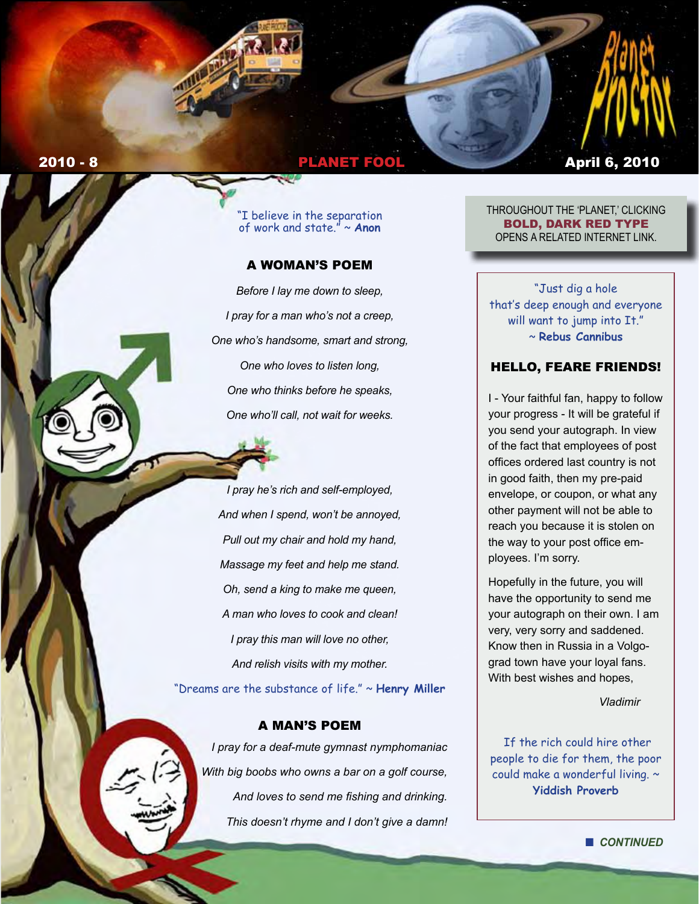# **2010 - 8 2010 - 8 2010 - 8 2010 - 8 2010 - 8 2010 - 8 2010 - 8 2010 - 8 2010 - 8 2010 - 8 2010 - 8 2010 - 8 20**

"I believe in the separation of work and state." ~ **Anon** 

## A WOMAN'S POEM

*Before I lay me down to sleep, I pray for a man who's not a creep, One who's handsome, smart and strong, One who loves to listen long, One who thinks before he speaks, One who'll call, not wait for weeks.*

*I pray he's rich and self-employed, And when I spend, won't be annoyed, Pull out my chair and hold my hand, Massage my feet and help me stand. Oh, send a king to make me queen, A man who loves to cook and clean! I pray this man will love no other, And relish visits with my mother.* "Dreams are the substance of life." ~ **Henry Miller** 

## A MAN'S POEM

*I pray for a deaf-mute gymnast nymphomaniac With big boobs who owns a bar on a golf course, And loves to send me fishing and drinking. This doesn't rhyme and I don't give a damn!*

THROUGHOUT THE 'PLANET,' CLICKING BOLD, DARK RED TYPE OPENS A RELATED INTERNET LINK.

"Just dig a hole that's deep enough and everyone will want to jump into It." ~ **Rebus Cannibus**

### HELLO, FEARE FRIENDS!

I - Your faithful fan, happy to follow your progress - It will be grateful if you send your autograph. In view of the fact that employees of post offices ordered last country is not in good faith, then my pre-paid envelope, or coupon, or what any other payment will not be able to reach you because it is stolen on the way to your post office employees. I'm sorry.

Hopefully in the future, you will have the opportunity to send me your autograph on their own. I am very, very sorry and saddened. Know then in Russia in a Volgograd town have your loyal fans. With best wishes and hopes,

*Vladimir*

 If the rich could hire other people to die for them, the poor could make a wonderful living. ~ **Yiddish Proverb**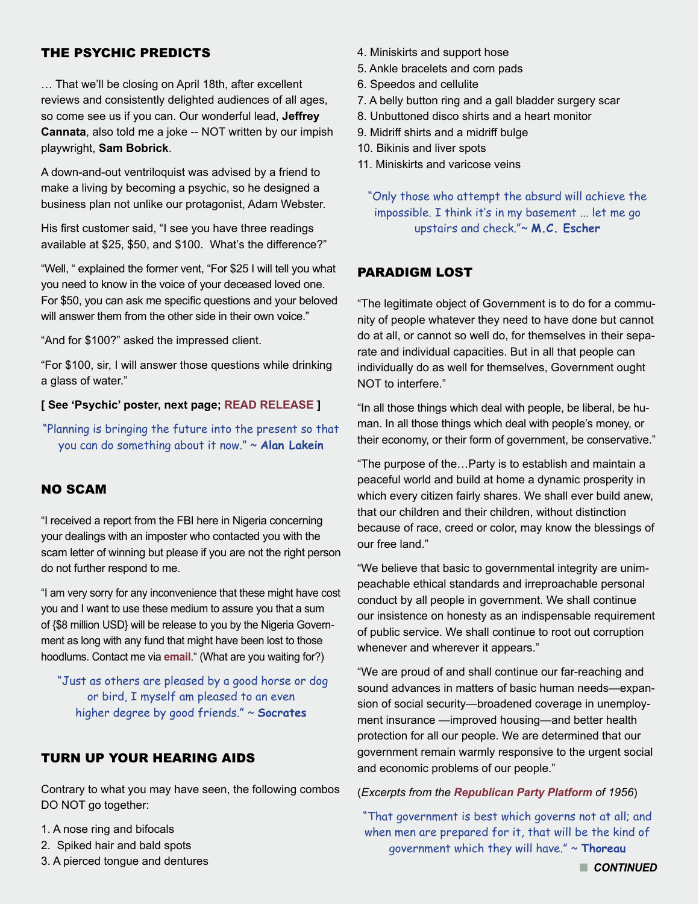# THE PSYCHIC PREDICTS

… That we'll be closing on April 18th, after excellent reviews and consistently delighted audiences of all ages, so come see us if you can. Our wonderful lead, **Jeffrey Cannata**, also told me a joke -- NOT written by our impish playwright, **Sam Bobrick**.

A down-and-out ventriloquist was advised by a friend to make a living by becoming a psychic, so he designed a business plan not unlike our protagonist, Adam Webster.

His first customer said, "I see you have three readings available at \$25, \$50, and \$100. What's the difference?"

"Well, " explained the former vent, "For \$25 I will tell you what you need to know in the voice of your deceased loved one. For \$50, you can ask me specific questions and your beloved will answer them from the other side in their own voice."

"And for \$100?" asked the impressed client.

"For \$100, sir, I will answer those questions while drinking a glass of water."

#### **[ See 'Psychic' poster, next page; [READ RELEASE](http://www.facebook.com/l/5953a;www.falcontheater.com/The-Psychic-Press-Release.pdf) ]**

"Planning is bringing the future into the present so that you can do something about it now." ~ **Alan Lakein** 

## NO SCAM

"I received a report from the FBI here in Nigeria concerning your dealings with an imposter who contacted you with the scam letter of winning but please if you are not the right person do not further respond to me.

"I am very sorry for any inconvenience that these might have cost you and I want to use these medium to assure you that a sum of {\$8 million USD} will be release to you by the Nigeria Government as long with any fund that might have been lost to those hoodlums. Contact me via **[email](mailto:ogbona_onovo@live.com)**." (What are you waiting for?)

 "Just as others are pleased by a good horse or dog or bird, I myself am pleased to an even higher degree by good friends." ~ **Socrates**

## TURN UP YOUR HEARING AIDS

Contrary to what you may have seen, the following combos DO NOT go together:

- 1. A nose ring and bifocals
- 2. Spiked hair and bald spots
- 3. A pierced tongue and dentures
- 4. Miniskirts and support hose
- 5. Ankle bracelets and corn pads
- 6. Speedos and cellulite
- 7. A belly button ring and a gall bladder surgery scar
- 8. Unbuttoned disco shirts and a heart monitor
- 9. Midriff shirts and a midriff bulge
- 10. Bikinis and liver spots
- 11. Miniskirts and varicose veins

"Only those who attempt the absurd will achieve the impossible. I think it's in my basement ... let me go upstairs and check."~ **M.C. Escher**

#### PARADIGM LOST

"The legitimate object of Government is to do for a community of people whatever they need to have done but cannot do at all, or cannot so well do, for themselves in their separate and individual capacities. But in all that people can individually do as well for themselves, Government ought NOT to interfere."

"In all those things which deal with people, be liberal, be human. In all those things which deal with people's money, or their economy, or their form of government, be conservative."

"The purpose of the…Party is to establish and maintain a peaceful world and build at home a dynamic prosperity in which every citizen fairly shares. We shall ever build anew, that our children and their children, without distinction because of race, creed or color, may know the blessings of our free land."

"We believe that basic to governmental integrity are unimpeachable ethical standards and irreproachable personal conduct by all people in government. We shall continue our insistence on honesty as an indispensable requirement of public service. We shall continue to root out corruption whenever and wherever it appears."

"We are proud of and shall continue our far-reaching and sound advances in matters of basic human needs—expansion of social security—broadened coverage in unemployment insurance —improved housing—and better health protection for all our people. We are determined that our government remain warmly responsive to the urgent social and economic problems of our people."

#### (*Excerpts from the [Republican Party Platform](http://www.presidency.ucsb.edu/ws/index.php?pid=25838) of 1956*)

"That government is best which governs not at all; and when men are prepared for it, that will be the kind of government which they will have." ~ **Thoreau**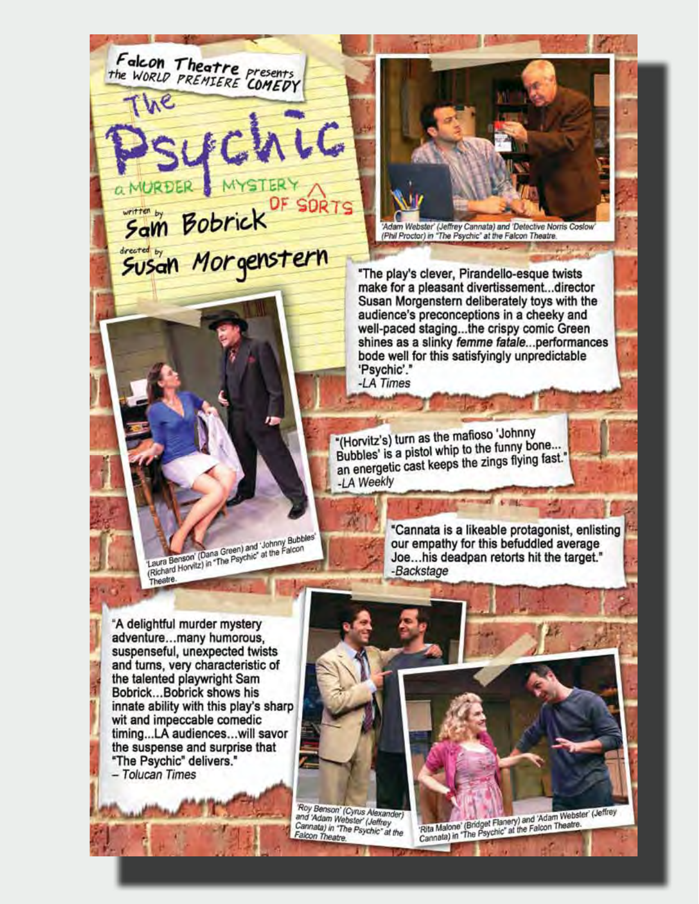Falcon Theatre presents<br>the WORLD PREMIERE COMEDY C OF SORTS Sam Bobrick<sup>OF</sup> SOR 'Adam Webster' (Jeffrey Cannata) and 'Detective Norris Coslow<br>(Phil Proctor) in "The Psychic" at the Falcon Theatre. "The play's clever, Pirandello-esque twists make for a pleasant divertissement...director Susan Morgenstern deliberately toys with the audience's preconceptions in a cheeky and well-paced staging...the crispy comic Green shines as a slinky femme fatale...performances bode well for this satisfyingly unpredictable 'Psychic'." -LA Times "(Horvitz's) turn as the mafioso 'Johnny Bubbles' is a pistol whip to the funny bone... an energetic cast keeps the zings flying fast." -LA Weekly "Cannata is a likeable protagonist, enlisting 'Laura Benson' (Dana Green) and 'Johnny Bubbles' Louis persons (Dania Oreen) and Junitify Bubble<br>(Richard Horvitz) in "The Psychic" at the Falcon our empathy for this befuddled average Joe...his deadpan retorts hit the target." -Backstage Theatre. "A delightful murder mystery adventure...many humorous, suspenseful, unexpected twists and turns, very characteristic of the talented playwright Sam Bobrick...Bobrick shows his innate ability with this play's sharp wit and impeccable comedic timing...LA audiences...will savor the suspense and surprise that "The Psychic" delivers." - Tolucan Times

> Roy Benson' (Cyrus Alexander)<br>and 'Adam Webster' (Jeffrey Cannata) in "The Psychic" at the Falcon Theatre.

'Rita Malone' (Bridget Flanery) and 'Adam Webster' (Jeffrey<br>Cannata) in "The Psychic" at the Falcon Theatre.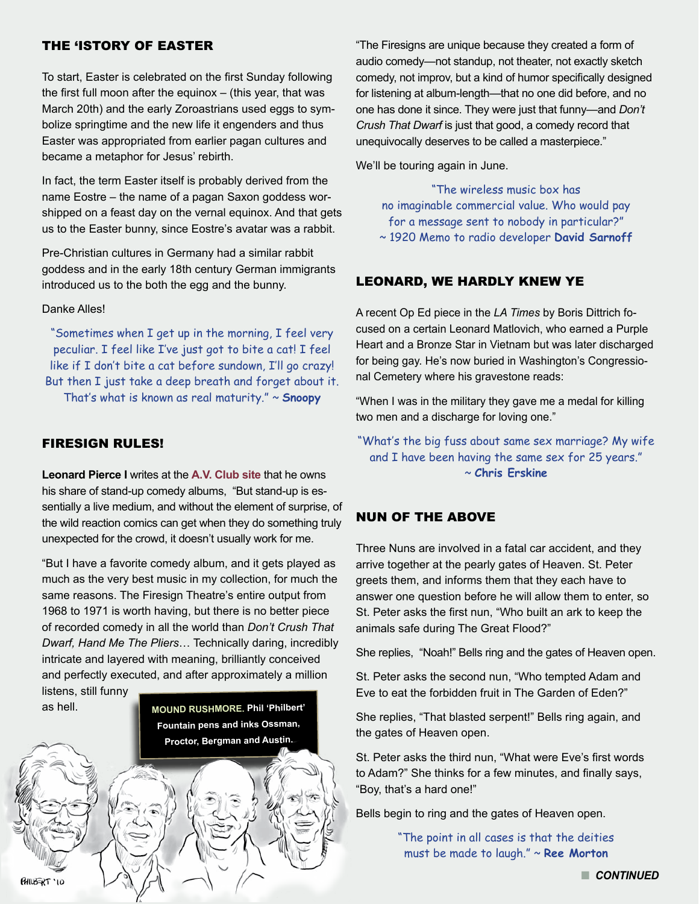## THE 'ISTORY OF EASTER

To start, Easter is celebrated on the first Sunday following the first full moon after the equinox – (this year, that was March 20th) and the early Zoroastrians used eggs to symbolize springtime and the new life it engenders and thus Easter was appropriated from earlier pagan cultures and became a metaphor for Jesus' rebirth.

In fact, the term Easter itself is probably derived from the name Eostre – the name of a pagan Saxon goddess worshipped on a feast day on the vernal equinox. And that gets us to the Easter bunny, since Eostre's avatar was a rabbit.

Pre-Christian cultures in Germany had a similar rabbit goddess and in the early 18th century German immigrants introduced us to the both the egg and the bunny.

Danke Alles!

"Sometimes when I get up in the morning, I feel very peculiar. I feel like I've just got to bite a cat! I feel like if I don't bite a cat before sundown, I'll go crazy! But then I just take a deep breath and forget about it.

That's what is known as real maturity." ~ **Snoopy**

## FIRESIGN RULES!

**Leonard Pierce I** writes at the **[A.V. Club site](http://www.avclub.com/articles/favorite-comedy-albums,38821/)** that he owns his share of stand-up comedy albums, "But stand-up is essentially a live medium, and without the element of surprise, of the wild reaction comics can get when they do something truly unexpected for the crowd, it doesn't usually work for me.

"But I have a favorite comedy album, and it gets played as much as the very best music in my collection, for much the same reasons. The Firesign Theatre's entire output from 1968 to 1971 is worth having, but there is no better piece of recorded comedy in all the world than *Don't Crush That Dwarf, Hand Me The Pliers*… Technically daring, incredibly intricate and layered with meaning, brilliantly conceived and perfectly executed, and after approximately a million listens, still funny



"The Firesigns are unique because they created a form of audio comedy—not standup, not theater, not exactly sketch comedy, not improv, but a kind of humor specifically designed for listening at album-length—that no one did before, and no one has done it since. They were just that funny—and *Don't Crush That Dwarf* is just that good, a comedy record that unequivocally deserves to be called a masterpiece."

We'll be touring again in June.

"The wireless music box has no imaginable commercial value. Who would pay for a message sent to nobody in particular?" ~ 1920 Memo to radio developer **David Sarnoff**

# LEONARD, WE HARDLY KNEW YE

A recent Op Ed piece in the *LA Times* by Boris Dittrich focused on a certain Leonard Matlovich, who earned a Purple Heart and a Bronze Star in Vietnam but was later discharged for being gay. He's now buried in Washington's Congressional Cemetery where his gravestone reads:

"When I was in the military they gave me a medal for killing two men and a discharge for loving one."

"What's the big fuss about same sex marriage? My wife and I have been having the same sex for 25 years." ~ **Chris Erskine** 

# NUN OF THE ABOVE

Three Nuns are involved in a fatal car accident, and they arrive together at the pearly gates of Heaven. St. Peter greets them, and informs them that they each have to answer one question before he will allow them to enter, so St. Peter asks the first nun, "Who built an ark to keep the animals safe during The Great Flood?"

She replies, "Noah!" Bells ring and the gates of Heaven open.

St. Peter asks the second nun, "Who tempted Adam and Eve to eat the forbidden fruit in The Garden of Eden?"

She replies, "That blasted serpent!" Bells ring again, and the gates of Heaven open.

St. Peter asks the third nun, "What were Eve's first words to Adam?" She thinks for a few minutes, and finally says, "Boy, that's a hard one!"

Bells begin to ring and the gates of Heaven open.

"The point in all cases is that the deities must be made to laugh." ~ **Ree Morton**